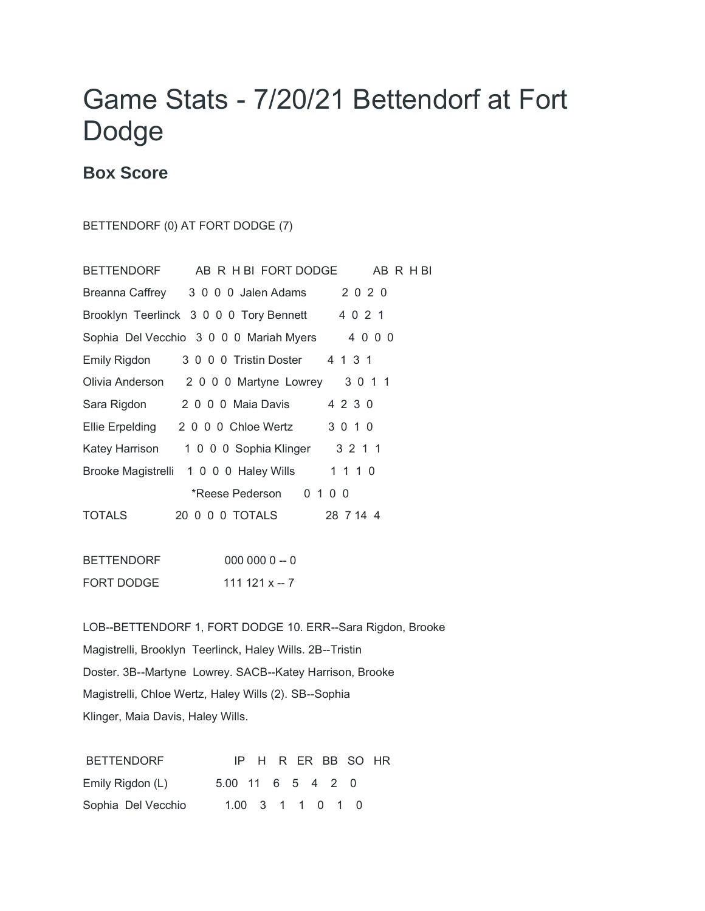## Game Stats - 7/20/21 Bettendorf at Fort Dodge

## **Box Score**

BETTENDORF (0) AT FORT DODGE (7)

|                 | BETTENDORF AB R H BI FORT DODGE                 | AB R H BI |
|-----------------|-------------------------------------------------|-----------|
|                 | Breanna Caffrey 3 0 0 0 Jalen Adams             | 2 0 2 0   |
|                 | Brooklyn Teerlinck 3 0 0 0 Tory Bennett 4 0 2 1 |           |
|                 | Sophia Del Vecchio 3 0 0 0 Mariah Myers         | 4000      |
| Emily Rigdon    | 3 0 0 0 Tristin Doster 4 1 3 1                  |           |
|                 | Olivia Anderson 2000 Martyne Lowrey 3011        |           |
| Sara Rigdon     | 2 0 0 0 Maia Davis                              | 4 2 3 0   |
| Ellie Erpelding | 2 0 0 0 Chloe Wertz                             | 3 0 1 0   |
| Katey Harrison  | 1 0 0 0 Sophia Klinger 3 2 1 1                  |           |
|                 | Brooke Magistrelli 1 0 0 0 Haley Wills          | 1 1 1 0   |
|                 | *Reese Pederson                                 | 0 1 0 0   |
| TOTALS          |                                                 | 28 7 14 4 |

BETTENDORF 000 000 0 -- 0 FORT DODGE 111 121 x -- 7

LOB--BETTENDORF 1, FORT DODGE 10. ERR--Sara Rigdon, Brooke Magistrelli, Brooklyn Teerlinck, Haley Wills. 2B--Tristin Doster. 3B--Martyne Lowrey. SACB--Katey Harrison, Brooke Magistrelli, Chloe Wertz, Haley Wills (2). SB--Sophia Klinger, Maia Davis, Haley Wills.

| <b>BETTENDORF</b>  |                   |                  |  |  | IP H R ER BB SO HR |  |
|--------------------|-------------------|------------------|--|--|--------------------|--|
| Emily Rigdon (L)   | 5.00 11 6 5 4 2 0 |                  |  |  |                    |  |
| Sophia Del Vecchio |                   | 1.00 3 1 1 0 1 0 |  |  |                    |  |